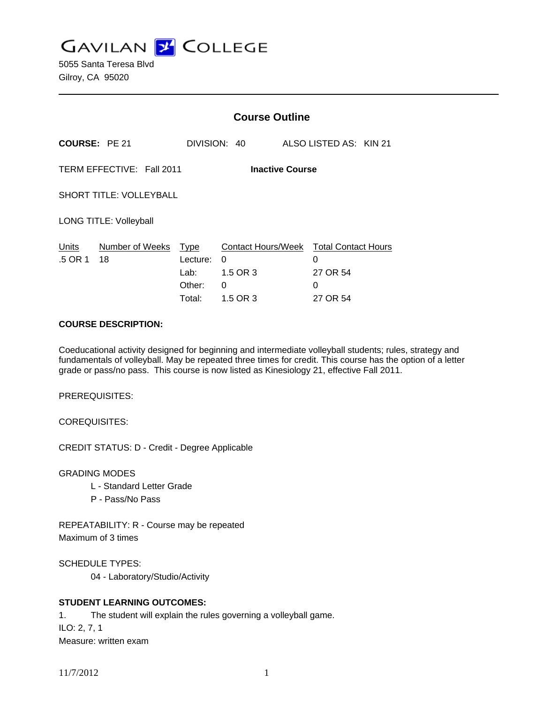**GAVILAN J COLLEGE** 

5055 Santa Teresa Blvd Gilroy, CA 95020

|                                                     |                       | <b>Course Outline</b>                        |                                                             |  |                                                              |  |
|-----------------------------------------------------|-----------------------|----------------------------------------------|-------------------------------------------------------------|--|--------------------------------------------------------------|--|
| <b>COURSE: PE 21</b>                                |                       |                                              | DIVISION: 40                                                |  | ALSO LISTED AS: KIN 21                                       |  |
| TERM EFFECTIVE: Fall 2011<br><b>Inactive Course</b> |                       |                                              |                                                             |  |                                                              |  |
| <b>SHORT TITLE: VOLLEYBALL</b>                      |                       |                                              |                                                             |  |                                                              |  |
| <b>LONG TITLE: Volleyball</b>                       |                       |                                              |                                                             |  |                                                              |  |
| Units<br>.5 OR 1                                    | Number of Weeks<br>18 | Type<br>Lecture:<br>Lab:<br>Other:<br>Total: | <b>Contact Hours/Week</b><br>0<br>1.5 OR 3<br>0<br>1.5 OR 3 |  | <b>Total Contact Hours</b><br>0<br>27 OR 54<br>0<br>27 OR 54 |  |

#### **COURSE DESCRIPTION:**

Coeducational activity designed for beginning and intermediate volleyball students; rules, strategy and fundamentals of volleyball. May be repeated three times for credit. This course has the option of a letter grade or pass/no pass. This course is now listed as Kinesiology 21, effective Fall 2011.

PREREQUISITES:

COREQUISITES:

CREDIT STATUS: D - Credit - Degree Applicable

GRADING MODES

- L Standard Letter Grade
- P Pass/No Pass

REPEATABILITY: R - Course may be repeated Maximum of 3 times

SCHEDULE TYPES:

04 - Laboratory/Studio/Activity

## **STUDENT LEARNING OUTCOMES:**

1. The student will explain the rules governing a volleyball game. ILO: 2, 7, 1 Measure: written exam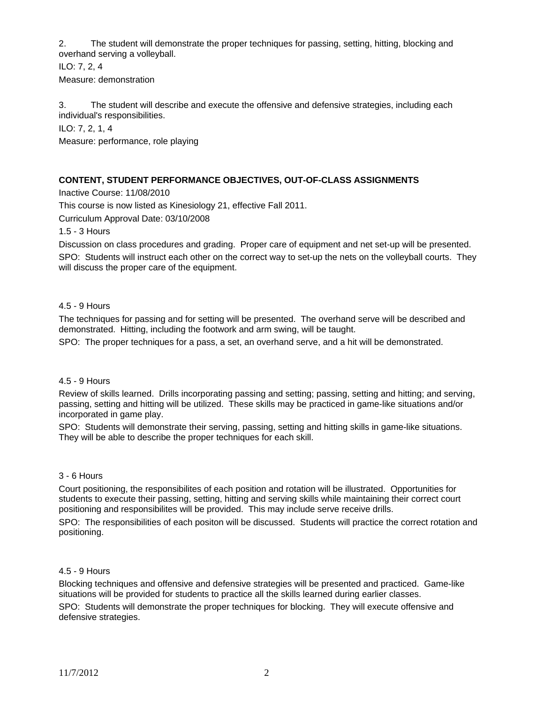2. The student will demonstrate the proper techniques for passing, setting, hitting, blocking and overhand serving a volleyball.

ILO: 7, 2, 4 Measure: demonstration

3. The student will describe and execute the offensive and defensive strategies, including each individual's responsibilities.

ILO: 7, 2, 1, 4

Measure: performance, role playing

### **CONTENT, STUDENT PERFORMANCE OBJECTIVES, OUT-OF-CLASS ASSIGNMENTS**

Inactive Course: 11/08/2010

This course is now listed as Kinesiology 21, effective Fall 2011.

Curriculum Approval Date: 03/10/2008

1.5 - 3 Hours

Discussion on class procedures and grading. Proper care of equipment and net set-up will be presented.

SPO: Students will instruct each other on the correct way to set-up the nets on the volleyball courts. They will discuss the proper care of the equipment.

#### 4.5 - 9 Hours

The techniques for passing and for setting will be presented. The overhand serve will be described and demonstrated. Hitting, including the footwork and arm swing, will be taught.

SPO: The proper techniques for a pass, a set, an overhand serve, and a hit will be demonstrated.

#### 4.5 - 9 Hours

Review of skills learned. Drills incorporating passing and setting; passing, setting and hitting; and serving, passing, setting and hitting will be utilized. These skills may be practiced in game-like situations and/or incorporated in game play.

SPO: Students will demonstrate their serving, passing, setting and hitting skills in game-like situations. They will be able to describe the proper techniques for each skill.

#### 3 - 6 Hours

Court positioning, the responsibilites of each position and rotation will be illustrated. Opportunities for students to execute their passing, setting, hitting and serving skills while maintaining their correct court positioning and responsibilites will be provided. This may include serve receive drills.

SPO: The responsibilities of each positon will be discussed. Students will practice the correct rotation and positioning.

#### 4.5 - 9 Hours

Blocking techniques and offensive and defensive strategies will be presented and practiced. Game-like situations will be provided for students to practice all the skills learned during earlier classes.

SPO: Students will demonstrate the proper techniques for blocking. They will execute offensive and defensive strategies.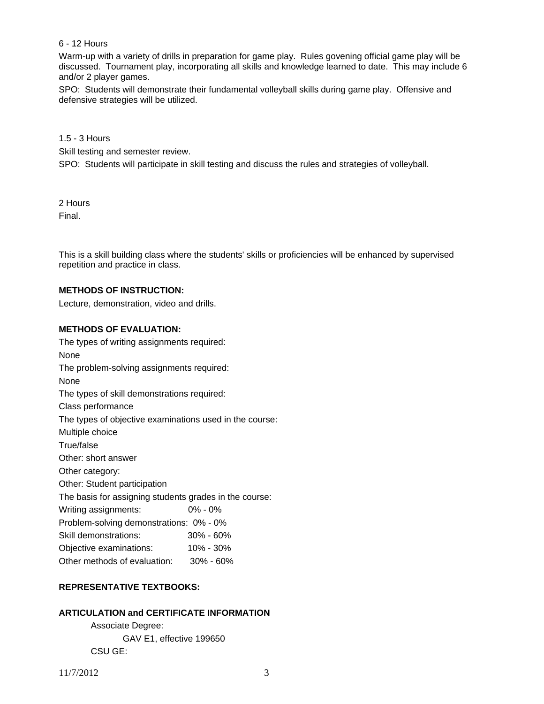### 6 - 12 Hours

Warm-up with a variety of drills in preparation for game play. Rules govening official game play will be discussed. Tournament play, incorporating all skills and knowledge learned to date. This may include 6 and/or 2 player games.

SPO: Students will demonstrate their fundamental volleyball skills during game play. Offensive and defensive strategies will be utilized.

## 1.5 - 3 Hours

Skill testing and semester review.

SPO: Students will participate in skill testing and discuss the rules and strategies of volleyball.

2 Hours

Final.

This is a skill building class where the students' skills or proficiencies will be enhanced by supervised repetition and practice in class.

### **METHODS OF INSTRUCTION:**

Lecture, demonstration, video and drills.

### **METHODS OF EVALUATION:**

The types of writing assignments required: None The problem-solving assignments required: None The types of skill demonstrations required: Class performance The types of objective examinations used in the course: Multiple choice True/false Other: short answer Other category: Other: Student participation The basis for assigning students grades in the course: Writing assignments: 0% - 0% Problem-solving demonstrations: 0% - 0% Skill demonstrations: 30% - 60% Objective examinations: 10% - 30% Other methods of evaluation: 30% - 60%

# **REPRESENTATIVE TEXTBOOKS:**

# **ARTICULATION and CERTIFICATE INFORMATION**

 Associate Degree: GAV E1, effective 199650 CSU GE: